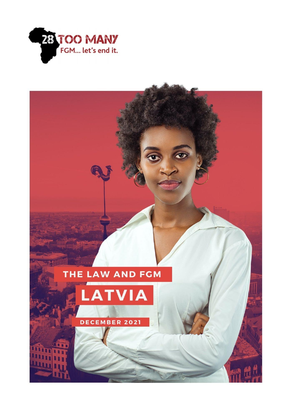

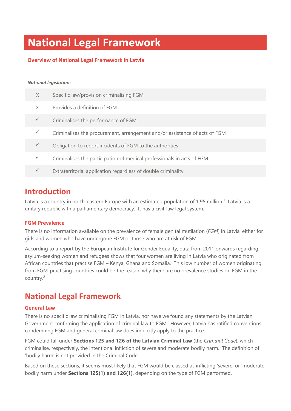# **National Legal Framework**

#### **Overview of National Legal Framework in Latvia**

#### *National legislation:*

| X | Specific law/provision criminalising FGM                                   |
|---|----------------------------------------------------------------------------|
| X | Provides a definition of FGM                                               |
|   | Criminalises the performance of FGM                                        |
|   | Criminalises the procurement, arrangement and/or assistance of acts of FGM |
|   | Obligation to report incidents of FGM to the authorities                   |
|   | Criminalises the participation of medical professionals in acts of FGM     |
|   | Extraterritorial application regardless of double criminality              |

### **Introduction**

Latvia is a country in north-eastern Europe with an estimated population of 1.95 million.<sup>1</sup> Latvia is a unitary republic with a parliamentary democracy. It has a civil-law legal system.

#### **FGM Prevalence**

There is no information available on the prevalence of female genital mutilation (*FGM*) in Latvia, either for girls and women who have undergone FGM or those who are at risk of FGM.

According to a report by the European Institute for Gender Equality, data from 2011 onwards regarding asylum-seeking women and refugees shows that four women are living in Latvia who originated from African countries that practise FGM – Kenya, Ghana and Somalia. This low number of women originating from FGM-practising countries could be the reason why there are no prevalence studies on FGM in the country. 2

### **National Legal Framework**

#### **General Law**

There is no specific law criminalising FGM in Latvia, nor have we found any statements by the Latvian Government confirming the application of criminal law to FGM. However, Latvia has ratified conventions condemning FGM and general criminal law does implicitly apply to the practice.

FGM could fall under **Sections 125 and 126 of the Latvian Criminal Law** (the *Criminal Code*), which criminalise, respectively, the intentional infliction of severe and moderate bodily harm. The definition of 'bodily harm' is not provided in the Criminal Code.

Based on these sections, it seems most likely that FGM would be classed as inflicting 'severe' or 'moderate' bodily harm under **Sections 125(1) and 126(1)**, depending on the type of FGM performed.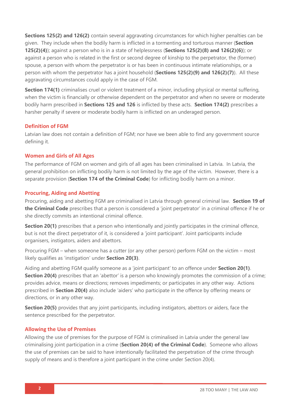**Sections 125(2) and 126(2)** contain several aggravating circumstances for which higher penalties can be given. They include when the bodily harm is inflicted in a tormenting and torturous manner (**Section 125(2)(4)**); against a person who is in a state of helplessness (**Sections 125(2)(8) and 126(2)(6)**); or against a person who is related in the first or second degree of kinship to the perpetrator, the (former) spouse, a person with whom the perpetrator is or has been in continuous intimate relationships, or a person with whom the perpetrator has a joint household (**Sections 125(2)(9) and 126(2)(7)**). All these aggravating circumstances could apply in the case of FGM.

**Section 174(1)** criminalises cruel or violent treatment of a minor, including physical or mental suffering, when the victim is financially or otherwise dependent on the perpetrator and when no severe or moderate bodily harm prescribed in **Sections 125 and 126** is inflicted by these acts. **Section 174(2)** prescribes a harsher penalty if severe or moderate bodily harm is inflicted on an underaged person.

#### **Definition of FGM**

Latvian law does not contain a definition of FGM; nor have we been able to find any government source defining it.

#### **Women and Girls of All Ages**

The performance of FGM on women and girls of all ages has been criminalised in Latvia. In Latvia, the general prohibition on inflicting bodily harm is not limited by the age of the victim. However, there is a separate provision (**Section 174 of the Criminal Code**) for inflicting bodily harm on a minor.

#### **Procuring, Aiding and Abetting**

Procuring, aiding and abetting FGM are criminalised in Latvia through general criminal law. **Section 19 of the Criminal Code** prescribes that a person is considered a 'joint perpetrator' in a criminal offence if he or she directly commits an intentional criminal offence.

**Section 20(1)** prescribes that a person who intentionally and jointly participates in the criminal offence, but is not the direct perpetrator of it, is considered a 'joint participant'. Joint participants include organisers, instigators, aiders and abettors.

Procuring FGM – when someone has a cutter (or any other person) perform FGM on the victim – most likely qualifies as 'instigation' under **Section 20(3)**.

Aiding and abetting FGM qualify someone as a 'joint participant' to an offence under **Section 20(1)**. **Section 20(4)** prescribes that an 'abettor' is a person who knowingly promotes the commission of a crime; provides advice, means or directions; removes impediments; or participates in any other way. Actions prescribed in **Section 20(4)** also include 'aiders' who participate in the offence by offering means or directions, or in any other way.

**Section 20(5)** provides that any joint participants, including instigators, abettors or aiders, face the sentence prescribed for the perpetrator.

#### **Allowing the Use of Premises**

Allowing the use of premises for the purpose of FGM is criminalised in Latvia under the general law criminalising joint participation in a crime (**Section 20(4) of the Criminal Code**). Someone who allows the use of premises can be said to have intentionally facilitated the perpetration of the crime through supply of means and is therefore a joint participant in the crime under Section 20(4).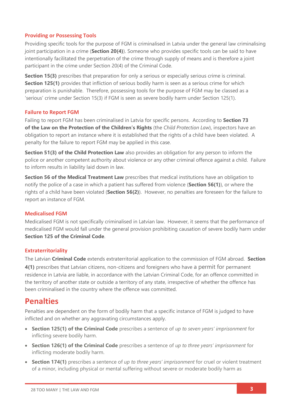#### **Providing or Possessing Tools**

Providing specific tools for the purpose of FGM is criminalised in Latvia under the general law criminalising joint participation in a crime (**Section 20(4)**). Someone who provides specific tools can be said to have intentionally facilitated the perpetration of the crime through supply of means and is therefore a joint participant in the crime under Section 20(4) of the Criminal Code.

**Section 15(3)** prescribes that preparation for only a serious or especially serious crime is criminal. **Section 125(1)** provides that infliction of serious bodily harm is seen as a serious crime for which preparation is punishable. Therefore, possessing tools for the purpose of FGM may be classed as a 'serious' crime under Section 15(3) if FGM is seen as severe bodily harm under Section 125(1).

#### **Failure to Report FGM**

Failing to report FGM has been criminalised in Latvia for specific persons. According to **Section 73 of the Law on the Protection of the Children's Rights** (the *Child Protection Law*), inspectors have an obligation to report an instance where it is established that the rights of a child have been violated. A penalty for the failure to report FGM may be applied in this case.

**Section 51(3) of the Child Protection Law** also provides an obligation for any person to inform the police or another competent authority about violence or any other criminal offence against a child. Failure to inform results in liability laid down in law.

**Section 56 of the Medical Treatment Law** prescribes that medical institutions have an obligation to notify the police of a case in which a patient has suffered from violence (**Section 56(1)**), or where the rights of a child have been violated (**Section 56(2)**). However, no penalties are foreseen for the failure to report an instance of FGM.

#### **Medicalised FGM**

Medicalised FGM is not specifically criminalised in Latvian law. However, it seems that the performance of medicalised FGM would fall under the general provision prohibiting causation of severe bodily harm under **Section 125 of the Criminal Code**.

#### **Extraterritoriality**

The Latvian **Criminal Code** extends extraterritorial application to the commission of FGM abroad. **Section 4(1)** prescribes that Latvian citizens, non-citizens and foreigners who have a permit for permanent residence in Latvia are liable, in accordance with the Latvian Criminal Code, for an offence committed in the territory of another state or outside a territory of any state, irrespective of whether the offence has been criminalised in the country where the offence was committed.

### **Penalties**

Penalties are dependent on the form of bodily harm that a specific instance of FGM is judged to have inflicted and on whether any aggravating circumstances apply.

- **Section 125(1) of the Criminal Code** prescribes a sentence of *up to seven years' imprisonment* for inflicting severe bodily harm.
- **Section 126(1) of the Criminal Code** prescribes a sentence of *up to three years' imprisonment* for inflicting moderate bodily harm.
- **Section 174(1)** prescribes a sentence of *up to three years' imprisonment* for cruel or violent treatment of a minor, including physical or mental suffering without severe or moderate bodily harm as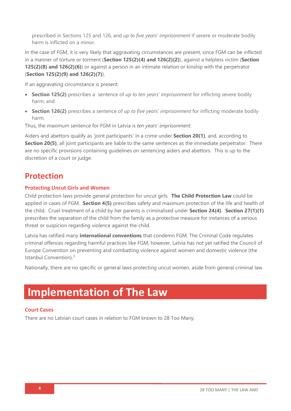prescribed in Sections 125 and 126, and *up to five years' imprisonment* if severe or moderate bodily harm is inflicted on a minor.

In the case of FGM, it is very likely that aggravating circumstances are present, since FGM can be inflicted in a manner of torture or torment (**Section 125(2)(4) and 126(2)(2)**), against a helpless victim (**Section 125(2)(8) and 126(2)(6)**) or against a person in an intimate relation or kinship with the perpetrator (**Section 125(2)(9) and 126(2)(7)**).

If an aggravating circumstance is present:

- **Section 125(2)** prescribes a sentence of *up to ten years' imprisonment* for inflicting severe bodily harm; and
- **Section 126(2)** prescribes a sentence of *up to five years' imprisonment* for inflicting moderate bodily harm.

Thus, the maximum sentence for FGM in Latvia is *ten years' imprisonment*.

Aiders and abettors qualify as 'joint participants' in a crime under **Section 20(1)**, and, according to **Section 20(5)**, all joint participants are liable to the same sentences as the immediate perpetrator. There are no specific provisions containing guidelines on sentencing aiders and abettors. This is up to the discretion of a court or judge.

### **Protection**

#### **Protecting Uncut Girls and Women**

Child protection laws provide general protection for uncut girls. **The Child Protection Law** could be applied in cases of FGM. **Section 4(5)** prescribes safety and maximum protection of the life and health of the child. Cruel treatment of a child by her parents is criminalised under **Section 24(4)**. **Section 27(1)(1)** prescribes the separation of the child from the family as a protective measure for instances of a serious threat or suspicion regarding violence against the child.

Latvia has ratified many **international conventions** that condemn FGM. The Criminal Code regulates criminal offences regarding harmful practices like FGM; however, Latvia has not yet ratified the Council of Europe Convention on preventing and combatting violence against women and domestic violence (the Istanbul Convention).<sup>3</sup>

Nationally, there are no specific or general laws protecting uncut women, aside from general criminal law.

## **Implementation of The Law**

#### **Court Cases**

There are no Latvian court cases in relation to FGM known to 28 Too Many.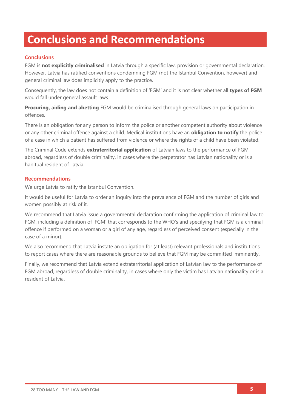## **Conclusions and Recommendations**

#### **Conclusions**

FGM is **not explicitly criminalised** in Latvia through a specific law, provision or governmental declaration. However, Latvia has ratified conventions condemning FGM (not the Istanbul Convention, however) and general criminal law does implicitly apply to the practice.

Consequently, the law does not contain a definition of 'FGM' and it is not clear whether all **types of FGM** would fall under general assault laws.

**Procuring, aiding and abetting** FGM would be criminalised through general laws on participation in offences.

There is an obligation for any person to inform the police or another competent authority about violence or any other criminal offence against a child. Medical institutions have an **obligation to notify** the police of a case in which a patient has suffered from violence or where the rights of a child have been violated.

The Criminal Code extends **extraterritorial application** of Latvian laws to the performance of FGM abroad, regardless of double criminality, in cases where the perpetrator has Latvian nationality or is a habitual resident of Latvia.

#### **Recommendations**

We urge Latvia to ratify the Istanbul Convention.

It would be useful for Latvia to order an inquiry into the prevalence of FGM and the number of girls and women possibly at risk of it.

We recommend that Latvia issue a governmental declaration confirming the application of criminal law to FGM, including a definition of 'FGM' that corresponds to the WHO's and specifying that FGM is a criminal offence if performed on a woman or a girl of any age, regardless of perceived consent (especially in the case of a minor).

We also recommend that Latvia instate an obligation for (at least) relevant professionals and institutions to report cases where there are reasonable grounds to believe that FGM may be committed imminently.

Finally, we recommend that Latvia extend extraterritorial application of Latvian law to the performance of FGM abroad, regardless of double criminality, in cases where only the victim has Latvian nationality or is a resident of Latvia.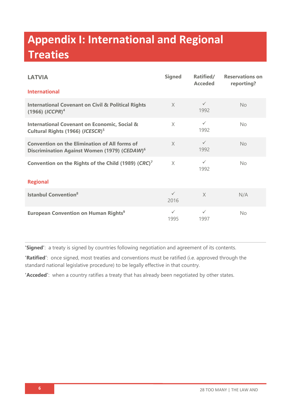# **Appendix I: International and Regional Treaties**

| <b>LATVIA</b>                                                                                                    | <b>Signed</b>        | Ratified/<br><b>Acceded</b> | <b>Reservations on</b><br>reporting? |  |  |
|------------------------------------------------------------------------------------------------------------------|----------------------|-----------------------------|--------------------------------------|--|--|
| <b>International</b>                                                                                             |                      |                             |                                      |  |  |
| <b>International Covenant on Civil &amp; Political Rights</b><br>$(1966)$ $(ICCPR)^4$                            | $\times$             | $\checkmark$<br>1992        | No                                   |  |  |
| <b>International Covenant on Economic, Social &amp;</b><br>Cultural Rights (1966) (ICESCR) <sup>5</sup>          | $\times$             | $\checkmark$<br>1992        | No                                   |  |  |
| <b>Convention on the Elimination of All forms of</b><br>Discrimination Against Women (1979) (CEDAW) <sup>6</sup> | $\times$             | $\checkmark$<br>1992        | No                                   |  |  |
| Convention on the Rights of the Child (1989) (CRC) <sup>7</sup>                                                  | $\times$             | $\checkmark$<br>1992        | No                                   |  |  |
| <b>Regional</b>                                                                                                  |                      |                             |                                      |  |  |
| <b>Istanbul Convention</b> <sup>8</sup>                                                                          | $\checkmark$<br>2016 | $\times$                    | N/A                                  |  |  |
| <b>European Convention on Human Rights<sup>9</sup></b>                                                           | $\checkmark$<br>1995 | $\checkmark$<br>1997        | <b>No</b>                            |  |  |

**'Signed'**: a treaty is signed by countries following negotiation and agreement of its contents.

**'Ratified'**: once signed, most treaties and conventions must be ratified (i.e. approved through the standard national legislative procedure) to be legally effective in that country.

**'Acceded'**: when a country ratifies a treaty that has already been negotiated by other states.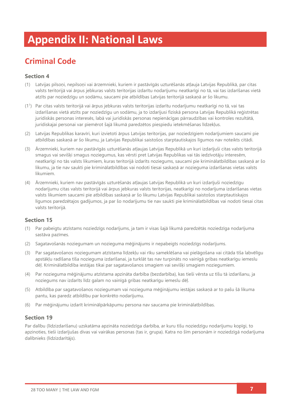# **Appendix II: National Laws**

## **Criminal Code**

#### **Section 4**

- (1) Latvijas pilsoņi, nepilsoņi vai ārzemnieki, kuriem ir pastāvīgās uzturēšanās atļauja Latvijas Republikā, par citas valsts teritorijā vai ārpus jebkuras valsts teritorijas izdarītu nodarījumu neatkarīgi no tā, vai tas izdarīšanas vietā atzīts par noziedzīgu un sodāmu, saucami pie atbildības Latvijas teritorijā saskaņā ar šo likumu.
- (1<sup>1</sup> ) Par citas valsts teritorijā vai ārpus jebkuras valsts teritorijas izdarītu nodarījumu neatkarīgi no tā, vai tas izdarīšanas vietā atzīts par noziedzīgu un sodāmu, ja to izdarījusi fiziskā persona Latvijas Republikā reģistrētas juridiskās personas interesēs, labā vai juridiskās personas nepienācīgas pārraudzības vai kontroles rezultātā, juridiskajai personai var piemērot šajā likumā paredzētos piespiedu ietekmēšanas līdzekļus.
- (2) Latvijas Republikas karavīri, kuri izvietoti ārpus Latvijas teritorijas, par noziedzīgiem nodarījumiem saucami pie atbildības saskaņā ar šo likumu, ja Latvijas Republikai saistošos starptautiskajos līgumos nav noteikts citādi.
- (3) Ārzemnieki, kuriem nav pastāvīgās uzturēšanās atļaujas Latvijas Republikā un kuri izdarījuši citas valsts teritorijā smagus vai sevišķi smagus noziegumus, kas vērsti pret Latvijas Republikas vai tās iedzīvotāju interesēm, neatkarīgi no tās valsts likumiem, kuras teritorijā izdarīts noziegums, saucami pie kriminālatbildības saskaņā ar šo likumu, ja tie nav saukti pie kriminālatbildības vai nodoti tiesai saskaņā ar nozieguma izdarīšanas vietas valsts likumiem.
- (4) Ārzemnieki, kuriem nav pastāvīgās uzturēšanās atļaujas Latvijas Republikā un kuri izdarījuši noziedzīgu nodarījumu citas valsts teritorijā vai ārpus jebkuras valsts teritorijas, neatkarīgi no nodarījuma izdarīšanas vietas valsts likumiem saucami pie atbildības saskaņā ar šo likumu Latvijas Republikai saistošos starptautiskajos līgumos paredzētajos gadījumos, ja par šo nodarījumu tie nav saukti pie kriminālatbildības vai nodoti tiesai citas valsts teritorijā.

#### **Section 15**

- (1) Par pabeigtu atzīstams noziedzīgs nodarījums, ja tam ir visas šajā likumā paredzētās noziedzīga nodarījuma sastāva pazīmes.
- (2) Sagatavošanās noziegumam un nozieguma mēģinājums ir nepabeigts noziedzīgs nodarījums.
- (3) Par sagatavošanos noziegumam atzīstama līdzekļu vai rīku sameklēšana vai pielāgošana vai citāda tīša labvēlīgu apstākļu radīšana tīša nozieguma izdarīšanai, ja turklāt tas nav turpināts no vainīgā gribas neatkarīgu iemeslu dēļ. Kriminālatbildība iestājas tikai par sagatavošanos smagiem vai sevišķi smagiem noziegumiem.
- (4) Par nozieguma mēģinājumu atzīstama apzināta darbība (bezdarbība), kas tieši vērsta uz tīšu tā izdarīšanu, ja noziegums nav izdarīts līdz galam no vainīgā gribas neatkarīgu iemeslu dēļ.
- (5) Atbildība par sagatavošanos noziegumam vai nozieguma mēģinājumu iestājas saskaņā ar to pašu šā likuma pantu, kas paredz atbildību par konkrēto nodarījumu.
- (6) Par mēģinājumu izdarīt kriminālpārkāpumu persona nav saucama pie kriminālatbildības.

#### **Section 19**

Par dalību (līdzizdarīšanu) uzskatāma apzināta noziedzīga darbība, ar kuru tīšu noziedzīgu nodarījumu kopīgi, to apzinoties, tieši izdarījušas divas vai vairākas personas (tas ir, grupa). Katra no šīm personām ir noziedzīgā nodarījuma dalībnieks (līdzizdarītājs).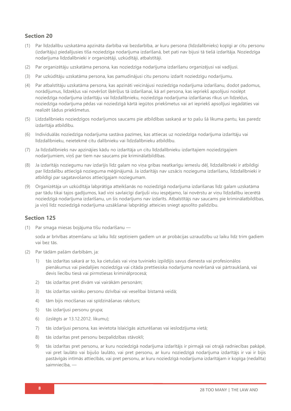#### **Section 20**

- (1) Par līdzdalību uzskatāma apzināta darbība vai bezdarbība, ar kuru persona (līdzdalībnieks) kopīgi ar citu personu (izdarītāju) piedalījusies tīša noziedzīga nodarījuma izdarīšanā, bet pati nav bijusi tā tiešā izdarītāja. Noziedzīga nodarījuma līdzdalībnieki ir organizētāji, uzkūdītāji, atbalstītāji.
- (2) Par organizētāju uzskatāma persona, kas noziedzīga nodarījuma izdarīšanu organizējusi vai vadījusi.
- (3) Par uzkūdītāju uzskatāma persona, kas pamudinājusi citu personu izdarīt noziedzīgu nodarījumu.
- (4) Par atbalstītāju uzskatāma persona, kas apzināti veicinājusi noziedzīga nodarījuma izdarīšanu, dodot padomus, norādījumus, līdzekļus vai novēršot šķēršļus tā izdarīšanai, kā arī persona, kas iepriekš apsolījusi noslēpt noziedzīga nodarījuma izdarītāju vai līdzdalībnieku, noziedzīga nodarījuma izdarīšanas rīkus un līdzekļus, noziedzīga nodarījuma pēdas vai noziedzīgā kārtā iegūtos priekšmetus vai arī iepriekš apsolījusi iegādāties vai realizēt šādus priekšmetus.
- (5) Līdzdalībnieks noziedzīgos nodarījumos saucams pie atbildības saskaņā ar to pašu šā likuma pantu, kas paredz izdarītāja atbildību.
- (6) Individuālās noziedzīga nodarījuma sastāva pazīmes, kas attiecas uz noziedzīga nodarījuma izdarītāju vai līdzdalībnieku, neietekmē citu dalībnieku vai līdzdalībnieku atbildību.
- (7) Ja līdzdalībnieks nav apzinājies kādu no izdarītāja un citu līdzdalībnieku izdarītajiem noziedzīgajiem nodarījumiem, viņš par tiem nav saucams pie kriminālatbildības.
- (8) Ja izdarītājs noziegumu nav izdarījis līdz galam no viņa gribas neatkarīgu iemeslu dēļ, līdzdalībnieki ir atbildīgi par līdzdalību attiecīgā nozieguma mēģinājumā. Ja izdarītājs nav uzsācis nozieguma izdarīšanu, līdzdalībnieki ir atbildīgi par sagatavošanos attiecīgajam noziegumam.
- (9) Organizētāja un uzkūdītāja labprātīga atteikšanās no noziedzīgā nodarījuma izdarīšanas līdz galam uzskatāma par tādu tikai tajos gadījumos, kad viņi savlaicīgi darījuši visu iespējamo, lai novērstu ar viņu līdzdalību iecerētā noziedzīgā nodarījuma izdarīšanu, un šis nodarījums nav izdarīts. Atbalstītājs nav saucams pie kriminālatbildības, ja viņš līdz noziedzīgā nodarījuma uzsākšanai labprātīgi atteicies sniegt apsolīto palīdzību.

#### **Section 125**

(1) Par smaga miesas bojājuma tīšu nodarīšanu —

soda ar brīvības atņemšanu uz laiku līdz septiņiem gadiem un ar probācijas uzraudzību uz laiku līdz trim gadiem vai bez tās.

- (2) Par tādām pašām darbībām, ja:
	- 1) tās izdarītas sakarā ar to, ka cietušais vai viņa tuvinieks izpildījis savus dienesta vai profesionālos pienākumus vai piedalījies noziedzīga vai citāda prettiesiska nodarījuma novēršanā vai pārtraukšanā, vai devis liecību tiesā vai pirmstiesas kriminālprocesā;
	- 2) tās izdarītas pret divām vai vairākām personām;
	- 3) tās izdarītas vairāku personu dzīvībai vai veselībai bīstamā veidā;
	- 4) tām bijis mocīšanas vai spīdzināšanas raksturs;
	- 5) tās izdarījusi personu grupa;
	- 6) (izslēgts ar [13.12.2012.](about:blank) likumu);
	- 7) tās izdarījusi persona, kas ievietota īslaicīgās aizturēšanas vai ieslodzījuma vietā;
	- 8) tās izdarītas pret personu bezpalīdzības stāvoklī;
	- 9) tās izdarītas pret personu, ar kuru noziedzīgā nodarījuma izdarītājs ir pirmajā vai otrajā radniecības pakāpē, vai pret laulāto vai bijušo laulāto, vai pret personu, ar kuru noziedzīgā nodarījuma izdarītājs ir vai ir bijis pastāvīgās intīmās attiecībās, vai pret personu, ar kuru noziedzīgā nodarījuma izdarītājam ir kopīga (nedalīta) saimniecība, —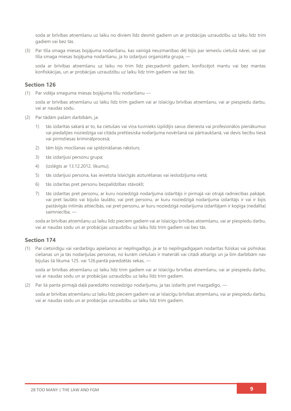soda ar brīvības atņemšanu uz laiku no diviem līdz desmit gadiem un ar probācijas uzraudzību uz laiku līdz trim gadiem vai bez tās.

(3) Par tīša smaga miesas bojājuma nodarīšanu, kas vainīgā neuzmanības dēļ bijis par iemeslu cietušā nāvei, vai par tīša smaga miesas bojājuma nodarīšanu, ja to izdarījusi organizēta grupa, —

soda ar brīvības atņemšanu uz laiku no trim līdz piecpadsmit gadiem, konfiscējot mantu vai bez mantas konfiskācijas, un ar probācijas uzraudzību uz laiku līdz trim gadiem vai bez tās.

#### **Section 126**

(1) Par vidēja smaguma miesas bojājuma tīšu nodarīšanu —

soda ar brīvības atņemšanu uz laiku līdz trim gadiem vai ar īslaicīgu brīvības atņemšanu, vai ar piespiedu darbu, vai ar naudas sodu.

- (2) Par tādām pašām darbībām, ja:
	- 1) tās izdarītas sakarā ar to, ka cietušais vai viņa tuvinieks izpildījis savus dienesta vai profesionālos pienākumus vai piedalījies noziedzīga vai citāda prettiesiska nodarījuma novēršanā vai pārtraukšanā, vai devis liecību tiesā vai pirmstiesas kriminālprocesā;
	- 2) tām bijis mocīšanas vai spīdzināšanas raksturs;
	- 3) tās izdarījusi personu grupa;
	- 4) (izslēgts ar [13.12.2012.](about:blank) likumu);
	- 5) tās izdarījusi persona, kas ievietota īslaicīgās aizturēšanas vai ieslodzījuma vietā;
	- 6) tās izdarītas pret personu bezpalīdzības stāvoklī;
	- 7) tās izdarītas pret personu, ar kuru noziedzīgā nodarījuma izdarītājs ir pirmajā vai otrajā radniecības pakāpē, vai pret laulāto vai bijušo laulāto, vai pret personu, ar kuru noziedzīgā nodarījuma izdarītājs ir vai ir bijis pastāvīgās intīmās attiecībās, vai pret personu, ar kuru noziedzīgā nodarījuma izdarītājam ir kopīga (nedalīta) saimniecība, —

soda ar brīvības atņemšanu uz laiku līdz pieciem gadiem vai ar īslaicīgu brīvības atņemšanu, vai ar piespiedu darbu, vai ar naudas sodu un ar probācijas uzraudzību uz laiku līdz trim gadiem vai bez tās.

#### **Section 174**

(1) Par cietsirdīgu vai vardarbīgu apiešanos ar nepilngadīgo, ja ar to nepilngadīgajam nodarītas fiziskas vai psihiskas ciešanas un ja tās nodarījušas personas, no kurām cietušais ir materiāli vai citādi atkarīgs un ja šīm darbībām nav bijušas šā likuma [125.](about:blank#p125) vai [126.pantā](about:blank#p126) paredzētās sekas, —

soda ar brīvības atņemšanu uz laiku līdz trim gadiem vai ar īslaicīgu brīvības atņemšanu, vai ar piespiedu darbu, vai ar naudas sodu un ar probācijas uzraudzību uz laiku līdz trim gadiem.

(2) Par šā panta pirmajā daļā paredzēto noziedzīgo nodarījumu, ja tas izdarīts pret mazgadīgo, —

soda ar brīvības atņemšanu uz laiku līdz pieciem gadiem vai ar īslaicīgu brīvības atņemšanu, vai ar piespiedu darbu, vai ar naudas sodu un ar probācijas uzraudzību uz laiku līdz trim gadiem.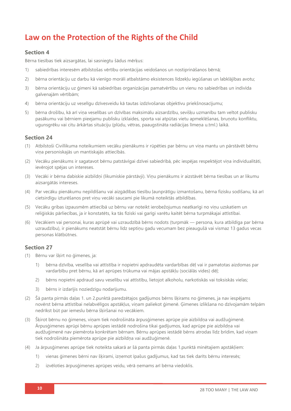## **Law on the Protection of the Rights of the Child**

#### **Section 4**

Bērna tiesības tiek aizsargātas, lai sasniegtu šādus mērķus:

- 1) sabiedrības interesēm atbilstošas vērtību orientācijas veidošanos un nostiprināšanos bērnā;
- 2) bērna orientāciju uz darbu kā vienīgo morāli atbalstāmo eksistences līdzekļu iegūšanas un labklājības avotu;
- 3) bērna orientāciju uz ģimeni kā sabiedrības organizācijas pamatvērtību un vienu no sabiedrības un indivīda galvenajām vērtībām;
- 4) bērna orientāciju uz veselīgu dzīvesveidu kā tautas izdzīvošanas objektīvu priekšnosacījumu;
- 5) bērna drošību, kā arī viņa veselības un dzīvības maksimālu aizsardzību, sevišķu uzmanību tam veltot publisku pasākumu vai bērniem pieejamu publisku izklaides, sporta vai atpūtas vietu apmeklēšanas, bruņotu konfliktu, ugunsgrēku vai citu ārkārtas situāciju (plūdu, vētras, paaugstināta radiācijas līmena u.tml.) laikā.

#### **Section 24**

- (1) Atbilstoši [Civillikuma](https://likumi.lv/ta/id/225418-civillikums) noteikumiem vecāku pienākums ir rūpēties par bērnu un viņa mantu un pārstāvēt bērnu viņa personiskajās un mantiskajās attiecībās.
- (2) Vecāku pienākums ir sagatavot bērnu patstāvīgai dzīvei sabiedrībā, pēc iespējas respektējot viņa individualitāti, ievērojot spējas un intereses.
- (3) Vecāki ir bērna dabiskie aizbildņi (likumiskie pārstāvji). Viņu pienākums ir aizstāvēt bērna tiesības un ar likumu aizsargātās intereses.
- (4) Par vecāku pienākumu nepildīšanu vai aizgādības tiesību ļaunprātīgu izmantošanu, bērna fizisku sodīšanu, kā arī cietsirdīgu izturēšanos pret viņu vecāki saucami pie likumā noteiktās atbildības.
- (5) Vecāku gribas izpausmēm attiecībā uz bērnu var noteikt ierobežojumus neatkarīgi no viņu uzskatiem un reliģiskās pārliecības, ja ir konstatēts, ka tās fiziski vai garīgi varētu kaitēt bērna turpmākajai attīstībai.
- (6) Vecākiem vai personai, kuras aprūpē vai uzraudzībā bērns nodots (turpmāk persona, kura atbildīga par bērna uzraudzību), ir pienākums neatstāt bērnu līdz septiņu gadu vecumam bez pieaugušā vai vismaz 13 gadus vecas personas klātbūtnes.

#### **Section 27**

- (1) Bērnu var šķirt no ģimenes, ja:
	- 1) bērna dzīvība, veselība vai attīstība ir nopietni apdraudēta vardarbības dēļ vai ir pamatotas aizdomas par vardarbību pret bērnu, kā arī aprūpes trūkuma vai mājas apstākļu (sociālās vides) dēļ;
	- 2) bērns nopietni apdraud savu veselību vai attīstību, lietojot alkoholu, narkotiskās vai toksiskās vielas;
	- 3) bērns ir izdarījis noziedzīgu nodarījumu.
- (2) Šā panta pirmās daļas 1. un 2.punktā paredzētajos gadījumos bērns šķirams no ģimenes, ja nav iespējams novērst bērna attīstībai nelabvēlīgos apstākļus, viņam paliekot ģimenē. Ģimenes izlikšana no dzīvojamām telpām nedrīkst būt par iemeslu bērna šķiršanai no vecākiem.
- (3) Šķirot bērnu no ģimenes, viņam tiek nodrošināta ārpusģimenes aprūpe pie aizbildņa vai audžuģimenē. Ārpusģimenes aprūpi bērnu aprūpes iestādē nodrošina tikai gadījumos, kad aprūpe pie aizbildņa vai audžuģimenē nav piemērota konkrētam bērnam. Bērnu aprūpes iestādē bērns atrodas līdz brīdim, kad viņam tiek nodrošināta piemērota aprūpe pie aizbildņa vai audžuģimenē.
- (4) Ja ārpusģimenes aprūpe tiek noteikta sakarā ar šā panta pirmās daļas 1.punktā minētajiem apstākļiem:
	- 1) vienas ģimenes bērni nav šķirami, izņemot īpašus gadījumus, kad tas tiek darīts bērnu interesēs;
	- 2) izvēloties ārpusģimenes aprūpes veidu, vērā ņemams arī bērna viedoklis.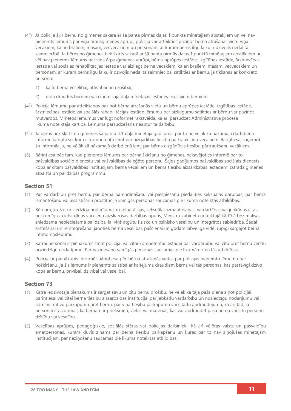- (4<sup>1</sup> ) Ja policija šķir bērnu no ģimenes sakarā ar šā panta pirmās daļas 1.punktā minētajiem apstākļiem un vēl nav pieņemts lēmums par viņa ārpusģimenes aprūpi, policija var atteikties paziņot bērna atrašanās vietu viņa vecākiem, kā arī brāļiem, māsām, vecvecākiem un personām, ar kurām bērns ilgu laiku ir dzīvojis nedalītā saimniecībā. Ja bērns no ģimenes tiek šķirts sakarā ar šā panta pirmās daļas 1.punktā minētajiem apstākļiem un vēl nav pieņemts lēmums par viņa ārpusģimenes aprūpi, bērnu aprūpes iestāde, izglītības iestāde, ārstniecības iestāde vai sociālās rehabilitācijas iestāde var aizliegt bērna vecākiem, kā arī brāļiem, māsām, vecvecākiem un personām, ar kurām bērns ilgu laiku ir dzīvojis nedalītā saimniecībā, satikties ar bērnu, ja tikšanās ar konkrēto personu:
	- 1) kaitē bērna veselībai, attīstībai un drošībai;
	- 2) rada draudus bērnam vai citiem šajā daļā minētajās iestādēs esošajiem bērniem.
- (4<sup>2</sup> ) Policija lēmumu par atteikšanos paziņot bērna atrašanās vietu un bērnu aprūpes iestāde, izglītības iestāde, ārstniecības iestāde vai sociālās rehabilitācijas iestāde lēmumu par aizliegumu satikties ar bērnu var paziņot mutvārdos. Minētos lēmumus var lūgt noformēt rakstveidā, kā arī pārsūdzēt [Administratīvā procesa](https://likumi.lv/ta/id/55567-administrativa-procesa-likums)  [likumā](https://likumi.lv/ta/id/55567-administrativa-procesa-likums) noteiktajā kārtībā. Lēmuma pārsūdzēšana neaptur tā darbību.
- (4<sup>3</sup> ) Ja bērns tiek šķirts no ģimenes šā panta 4.1 daļā minētajā gadījumā, par to ne vēlāk kā nākamajā darbdienā informē bāriņtiesu, kura ir kompetenta lemt par aizgādības tiesību pārtraukšanu vecākiem. Bāriņtiesa, saņemot šo informāciju, ne vēlāk kā nākamajā darbdienā lemj par bērna aizgādības tiesību pārtraukšanu vecākiem.
- (5) Bāriņtiesa pēc tam, kad pieņemts lēmums par bērna šķiršanu no ģimenes, nekavējoties informē par to pašvaldības sociālo dienestu vai pašvaldības deleģēto personu. Šajos gadījumos pašvaldības sociālais dienests kopā ar citām pašvaldības institūcijām, bērna vecākiem un bērna tiesību aizsardzības iestādēm izstrādā ģimenes atbalsta un palīdzības programmu.

#### **Section 51**

- (1) Par vardarbību pret bērnu, par bērna pamudināšanu vai piespiešanu piedalīties seksuālās darbībās, par bērna izmantošanu vai iesaistīšanu prostitūcijā vainīgās personas saucamas pie likumā noteiktās atbildības.
- (2) Bērnam, kurš ir noziedzīga nodarījuma, ekspluatācijas, seksuālas izmantošanas, vardarbības vai jebkādas citas nelikumīgas, cietsirdīgas vai cieņu aizskarošas darbības upuris, Ministru kabineta noteiktajā kārtībā bez maksas sniedzama nepieciešamā palīdzība, lai viņš atgūtu fizisko un psihisko veselību un integrētos sabiedrībā. Šādai ārstēšanai un reintegrēšanai jānotiek bērna veselībai, pašcieņai un godam labvēlīgā vidē, rūpīgi sargājot bērna intīmo noslēpumu.
- (3) Katrai personai ir pienākums ziņot policijai vai citai kompetentai iestādei par vardarbību vai citu pret bērnu vērstu noziedzīgu nodarījumu. Par neziņošanu vainīgās personas saucamas pie likumā noteiktās atbildības.
- (4) Policijai ir pienākums informēt bāriņtiesu pēc bērna atrašanās vietas par policijas pieņemto lēmumu par nošķiršanu, ja šis lēmums ir pieņemts saistībā ar kaitējuma draudiem bērna vai tās personas, kas pastāvīgi dzīvo kopā ar bērnu, brīvībai, dzīvībai vai veselībai.

#### **Section 73**

- (1) Katra iedzīvotāja pienākums ir sargāt savu un citu bērnu drošību, ne vēlāk kā tajā pašā dienā ziņot policijai, bāriņtiesai vai citai bērna tiesību aizsardzības institūcijai par jebkādu vardarbību un noziedzīgu nodarījumu vai administratīvu pārkāpumu pret bērnu, par viņa tiesību pārkāpumu vai citādu apdraudējumu, kā arī tad, ja personai ir aizdomas, ka bērnam ir priekšmeti, vielas vai materiāli, kas var apdraudēt paša bērna vai citu personu dzīvību vai veselību.
- (2) Veselības aprūpes, pedagoģiskie, sociālās sfēras vai policijas darbinieki, kā arī vēlētas valsts un pašvaldību amatpersonas, kurām kļuvis zināms par bērna tiesību pārkāpšanu un kuras par to nav ziņojušas minētajām institūcijām, par neziņošanu saucamas pie likumā noteiktās atbildības.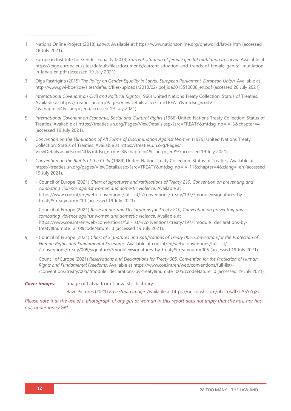- 1 Nations Online Project (2018) *Latvia*. Available at<https://www.nationsonline.org/oneworld/latvia.htm> (accessed 18 July 2021).
- 2 European Institute for Gender Equality (2013) *Current situation of female genital mutilation in Latvia*. Available at https://eige.europa.eu/sites/default/files/documents/current\_situation\_and\_trends\_of\_female\_genital\_mutilation in latvia en.pdf (accessed 19 July 2021).
- 3 Olga Rastrigina (2015) *The Policy on Gender Equality in Latvia. European Parliament, European Union*. Available at [http://www.gwi-boell.de/sites/default/files/uploads/2010/02/ipol\\_ida2015510008\\_en.pdf](http://www.gwi-boell.de/sites/default/files/uploads/2010/02/ipol_ida2015510008_en.pdf) (accessed 28 July 2021).
- 4 *International Covenant on Civil and Political Rights* (1966) United Nations Treaty Collection: Status of Treaties*.* Available at [https://treaties.un.org/Pages/ViewDetails.aspx?src=TREATY&mtdsg\\_no=IV-](https://treaties.un.org/Pages/ViewDetails.aspx?src=TREATY&mtdsg_no=IV-4&chapter=4&clang=_en)[4&chapter=4&clang=\\_en](https://treaties.un.org/Pages/ViewDetails.aspx?src=TREATY&mtdsg_no=IV-4&chapter=4&clang=_en) (accessed 19 July 2021).
- 5 *International Covenant on Economic, Social and Cultural Rights* (1966) United Nations Treaty Collection: Status of Treaties. Available at [https://treaties.un.org/Pages/ViewDetails.aspx?src=TREATY&mtdsg\\_no=IV-3&chapter=4](https://treaties.un.org/Pages/ViewDetails.aspx?src=TREATY&mtdsg_no=IV-3&chapter=4) (accessed 19 July 2021).
- 6 *Convention on the Elimination of All Forms of Discrimination Against Women* (1979) United Nations Treaty Collection: Status of Treaties. Available at [https://treaties.un.org/Pages/](https://treaties.un.org/Pages/ViewDetails.aspx?src=IND&mtdsg_no=IV-8&chapter=4&clang=_en#9) [ViewDetails.aspx?src=IND&mtdsg\\_no=IV-8&chapter=4&clang=\\_en#9](https://treaties.un.org/Pages/ViewDetails.aspx?src=IND&mtdsg_no=IV-8&chapter=4&clang=_en#9) (accessed 19 July 2021).
- 7 *Convention on the Rights of the Child* (1989) United Nation Treaty Collection: Status of Treaties. Available at [https://treaties.un.org/pages/ViewDetails.aspx?src=TREATY&mtdsg\\_no=IV-11&chapter=4&clang=\\_en](https://treaties.un.org/pages/ViewDetails.aspx?src=TREATY&mtdsg_no=IV-11&chapter=4&clang=_en) (accessed 19 July 2021).
- 8 Council of Europe (2021) *Chart of signatures and ratifications of Treaty 210, Convention on preventing and combating violence against women and domestic violence*. Available at [https://www.coe.int/en/web/conventions/full-list/-/conventions/treaty/197/?module=signatures-by](https://www.coe.int/en/web/conventions/full-list/-/conventions/treaty/197/?module=signatures-by-treaty&treatynum=210)[treaty&treatynum=210](https://www.coe.int/en/web/conventions/full-list/-/conventions/treaty/197/?module=signatures-by-treaty&treatynum=210) (accessed 19 July 2021).
	- Council of Europe (2021) *Reservations and Declarations for Treaty 210, Convention on preventing and combating violence against women and domestic violence*. Available at [https://www.coe.int/en/web/conventions/full-list/-/conventions/treaty/197/?module=declarations-by](https://www.coe.int/en/web/conventions/full-list/-/conventions/treaty/197/?module=declarations-by-treaty&numSte=210&codeNature=0)[treaty&numSte=210&codeNature=0](https://www.coe.int/en/web/conventions/full-list/-/conventions/treaty/197/?module=declarations-by-treaty&numSte=210&codeNature=0) (accessed 19 July 2021).
- 9 Council of Europe (2021) *Chart of Signatures and Ratifications of Treaty 005, Convention for the Protection of Human Rights and Fundamental Freedoms*. Available at [coe.int/en/web/conventions/full-list/-](coe.int/en/web/conventions/full-list/-/conventions/treaty/005/signatures?module=signatures-by-treaty&treatynum=005) [/conventions/treaty/005/signatures?module=signatures-by-treaty&treatynum=005](coe.int/en/web/conventions/full-list/-/conventions/treaty/005/signatures?module=signatures-by-treaty&treatynum=005) (accessed 19 July 2021).
	- Council of Europe (2021) *Reservations and Declarations for Treaty 005, Convention for the Protection of Human Rights and Fundamental Freedoms*. Available at [https://www.coe.int/en/web/conventions/full-list/-](https://www.coe.int/en/web/conventions/full-list/-/conventions/treaty/005/?module=declarations-by-treaty&numSte=005&codeNature=0) [/conventions/treaty/005/?module=declarations-by-treaty&numSte=005&codeNature=0](https://www.coe.int/en/web/conventions/full-list/-/conventions/treaty/005/?module=declarations-by-treaty&numSte=005&codeNature=0) (accessed 19 July 2021).

#### *Cover images:* Image of Latvia from Canva stock library.

Bave Pictures (2021) *Free studio image*. Available at [https://unsplash.com/photos/fl7bASYZgXo.](https://unsplash.com/photos/fl7bASYZgXo)

*Please note that the use of a photograph of any girl or woman in this report does not imply that she has, nor has not, undergone FGM.*